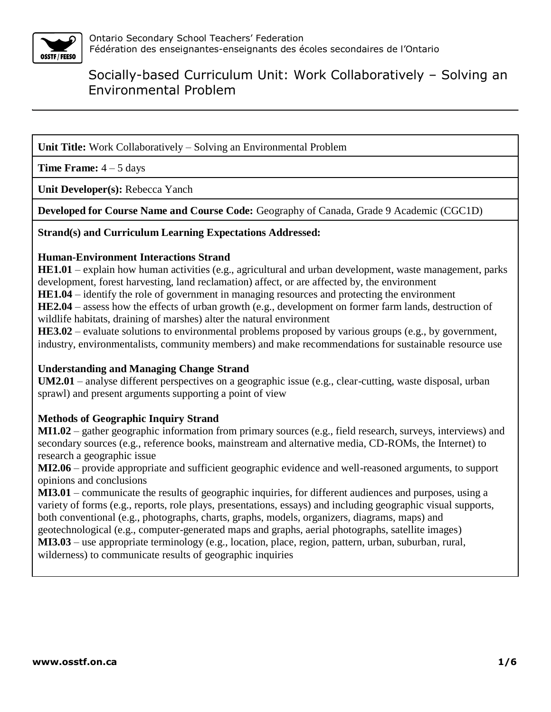

**Unit Title:** Work Collaboratively – Solving an Environmental Problem

**Time Frame:**  $4 - 5$  days

**Unit Developer(s):** Rebecca Yanch

**Developed for Course Name and Course Code:** Geography of Canada, Grade 9 Academic (CGC1D)

**Strand(s) and Curriculum Learning Expectations Addressed:**

#### **Human-Environment Interactions Strand**

**HE1.01** – explain how human activities (e.g., agricultural and urban development, waste management, parks development, forest harvesting, land reclamation) affect, or are affected by, the environment

**HE1.04** – identify the role of government in managing resources and protecting the environment

**HE2.04** – assess how the effects of urban growth (e.g., development on former farm lands, destruction of wildlife habitats, draining of marshes) alter the natural environment

**HE3.02** – evaluate solutions to environmental problems proposed by various groups (e.g., by government, industry, environmentalists, community members) and make recommendations for sustainable resource use

### **Understanding and Managing Change Strand**

**UM2.01** – analyse different perspectives on a geographic issue (e.g., clear-cutting, waste disposal, urban sprawl) and present arguments supporting a point of view

### **Methods of Geographic Inquiry Strand**

**MI1.02** – gather geographic information from primary sources (e.g., field research, surveys, interviews) and secondary sources (e.g., reference books, mainstream and alternative media, CD-ROMs, the Internet) to research a geographic issue

**MI2.06** – provide appropriate and sufficient geographic evidence and well-reasoned arguments, to support opinions and conclusions

**MI3.01** – communicate the results of geographic inquiries, for different audiences and purposes, using a variety of forms (e.g., reports, role plays, presentations, essays) and including geographic visual supports, both conventional (e.g., photographs, charts, graphs, models, organizers, diagrams, maps) and geotechnological (e.g., computer-generated maps and graphs, aerial photographs, satellite images)

**MI3.03** – use appropriate terminology (e.g., location, place, region, pattern, urban, suburban, rural, wilderness) to communicate results of geographic inquiries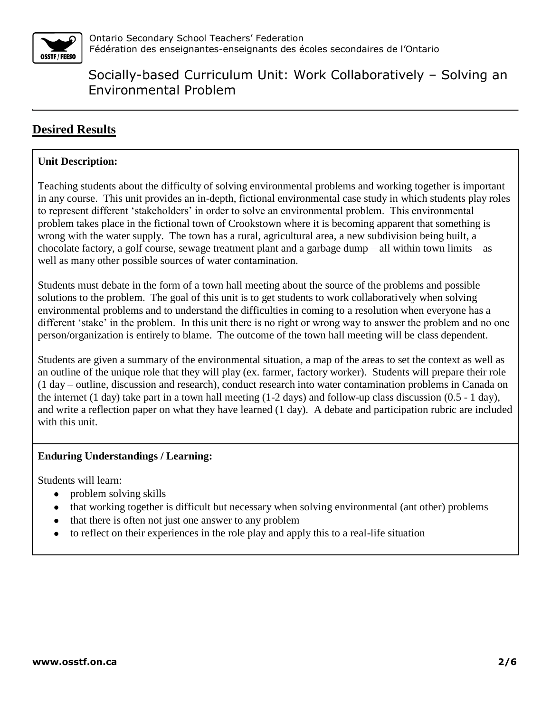

## **Desired Results**

### **Unit Description:**

Teaching students about the difficulty of solving environmental problems and working together is important in any course. This unit provides an in-depth, fictional environmental case study in which students play roles to represent different 'stakeholders' in order to solve an environmental problem. This environmental problem takes place in the fictional town of Crookstown where it is becoming apparent that something is wrong with the water supply. The town has a rural, agricultural area, a new subdivision being built, a chocolate factory, a golf course, sewage treatment plant and a garbage dump – all within town limits – as well as many other possible sources of water contamination.

Students must debate in the form of a town hall meeting about the source of the problems and possible solutions to the problem. The goal of this unit is to get students to work collaboratively when solving environmental problems and to understand the difficulties in coming to a resolution when everyone has a different 'stake' in the problem. In this unit there is no right or wrong way to answer the problem and no one person/organization is entirely to blame. The outcome of the town hall meeting will be class dependent.

Students are given a summary of the environmental situation, a map of the areas to set the context as well as an outline of the unique role that they will play (ex. farmer, factory worker). Students will prepare their role (1 day – outline, discussion and research), conduct research into water contamination problems in Canada on the internet (1 day) take part in a town hall meeting (1-2 days) and follow-up class discussion (0.5 - 1 day), and write a reflection paper on what they have learned (1 day). A debate and participation rubric are included with this unit.

### **Enduring Understandings / Learning:**

Students will learn:

- problem solving skills
- that working together is difficult but necessary when solving environmental (ant other) problems
- that there is often not just one answer to any problem
- to reflect on their experiences in the role play and apply this to a real-life situation $\bullet$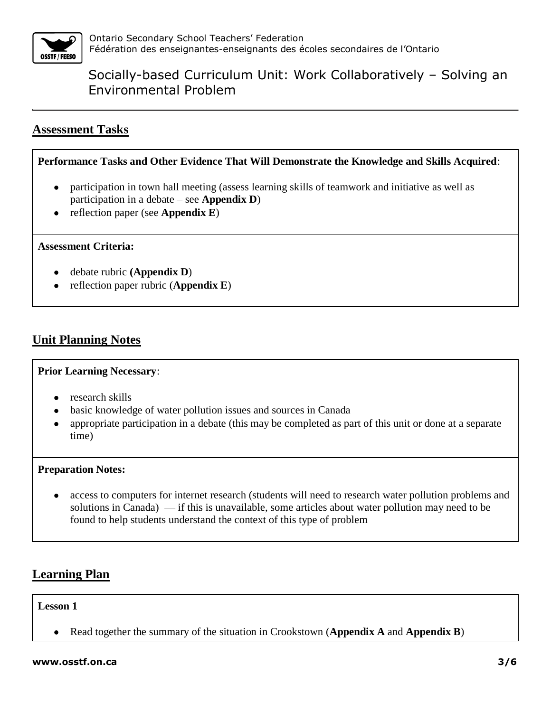

### **Assessment Tasks**

**Performance Tasks and Other Evidence That Will Demonstrate the Knowledge and Skills Acquired**:

- participation in town hall meeting (assess learning skills of teamwork and initiative as well as  $\bullet$ participation in a debate – see **Appendix D**)
- reflection paper (see **Appendix E**)  $\bullet$

#### **Assessment Criteria:**

- debate rubric **(Appendix D**)
- reflection paper rubric (**Appendix E**)

### **Unit Planning Notes**

### **Prior Learning Necessary**:

- research skills
- basic knowledge of water pollution issues and sources in Canada
- appropriate participation in a debate (this may be completed as part of this unit or done at a separate  $\bullet$ time)

### **Preparation Notes:**

access to computers for internet research (students will need to research water pollution problems and solutions in Canada) — if this is unavailable, some articles about water pollution may need to be found to help students understand the context of this type of problem

### **Learning Plan**

### **Lesson 1**

Read together the summary of the situation in Crookstown (**Appendix A** and **Appendix B**)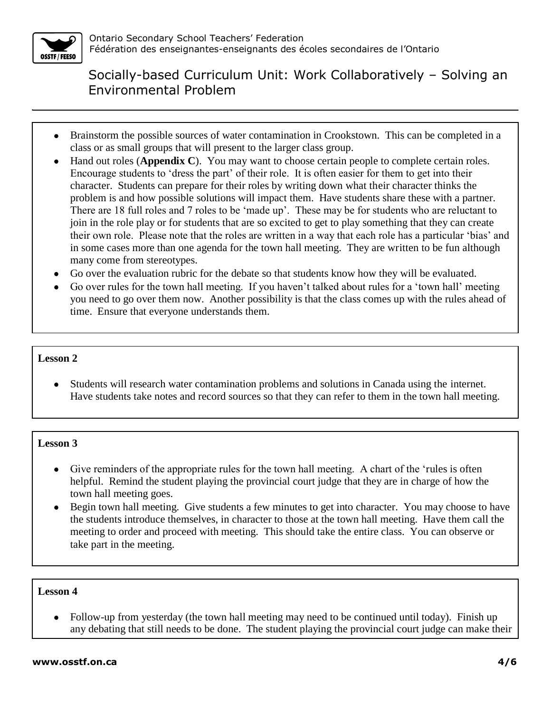

- Brainstorm the possible sources of water contamination in Crookstown. This can be completed in a class or as small groups that will present to the larger class group.
- Hand out roles (**Appendix C**). You may want to choose certain people to complete certain roles. Encourage students to 'dress the part' of their role. It is often easier for them to get into their character. Students can prepare for their roles by writing down what their character thinks the problem is and how possible solutions will impact them. Have students share these with a partner. There are 18 full roles and 7 roles to be 'made up'. These may be for students who are reluctant to join in the role play or for students that are so excited to get to play something that they can create their own role. Please note that the roles are written in a way that each role has a particular 'bias' and in some cases more than one agenda for the town hall meeting. They are written to be fun although many come from stereotypes.
- Go over the evaluation rubric for the debate so that students know how they will be evaluated.
- Go over rules for the town hall meeting. If you haven't talked about rules for a 'town hall' meeting you need to go over them now. Another possibility is that the class comes up with the rules ahead of time. Ensure that everyone understands them.

### **Lesson 2**

Students will research water contamination problems and solutions in Canada using the internet. Have students take notes and record sources so that they can refer to them in the town hall meeting.

### **Lesson 3**

- Give reminders of the appropriate rules for the town hall meeting. A chart of the 'rules is often helpful. Remind the student playing the provincial court judge that they are in charge of how the town hall meeting goes.
- Begin town hall meeting. Give students a few minutes to get into character. You may choose to have the students introduce themselves, in character to those at the town hall meeting. Have them call the meeting to order and proceed with meeting. This should take the entire class. You can observe or take part in the meeting.

### **Lesson 4**

• Follow-up from yesterday (the town hall meeting may need to be continued until today). Finish up any debating that still needs to be done. The student playing the provincial court judge can make their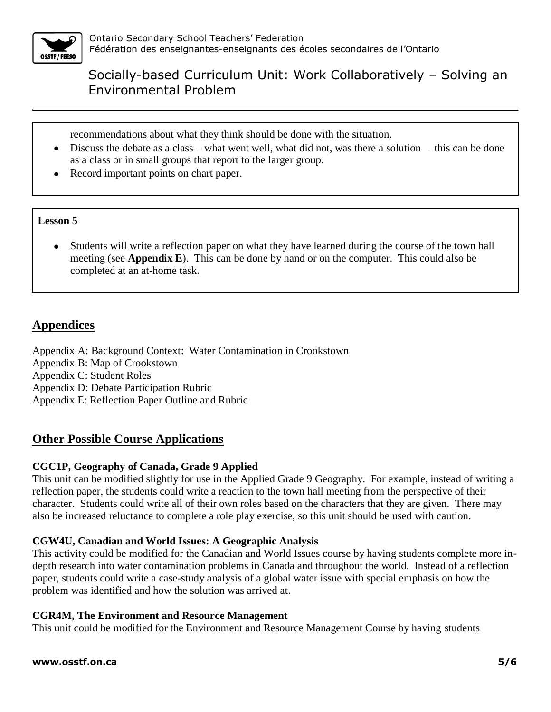

recommendations about what they think should be done with the situation.

- $\bullet$  Discuss the debate as a class what went well, what did not, was there a solution this can be done as a class or in small groups that report to the larger group.
- Record important points on chart paper.

### **Lesson 5**

Students will write a reflection paper on what they have learned during the course of the town hall meeting (see **Appendix E**). This can be done by hand or on the computer. This could also be completed at an at-home task.

### **Appendices**

Appendix A: Background Context: Water Contamination in Crookstown Appendix B: Map of Crookstown Appendix C: Student Roles Appendix D: Debate Participation Rubric Appendix E: Reflection Paper Outline and Rubric

### **Other Possible Course Applications**

### **CGC1P, Geography of Canada, Grade 9 Applied**

This unit can be modified slightly for use in the Applied Grade 9 Geography. For example, instead of writing a reflection paper, the students could write a reaction to the town hall meeting from the perspective of their character. Students could write all of their own roles based on the characters that they are given. There may also be increased reluctance to complete a role play exercise, so this unit should be used with caution.

### **CGW4U, Canadian and World Issues: A Geographic Analysis**

This activity could be modified for the Canadian and World Issues course by having students complete more indepth research into water contamination problems in Canada and throughout the world. Instead of a reflection paper, students could write a case-study analysis of a global water issue with special emphasis on how the problem was identified and how the solution was arrived at.

### **CGR4M, The Environment and Resource Management**

This unit could be modified for the Environment and Resource Management Course by having students